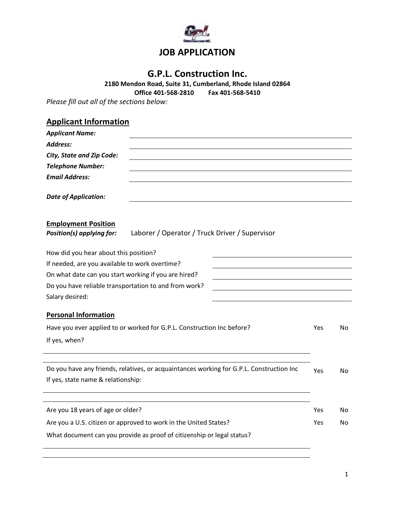

# **G.P.L. Construction Inc.**

**2180 Mendon Road, Suite 31, Cumberland, Rhode Island 02864 Office 401-568-2810 Fax 401-568-5410**

*Please fill out all of the sections below:*

# **Applicant Information**

| <b>Applicant Name:</b>                                                                                    |                                                       |    |  |  |  |
|-----------------------------------------------------------------------------------------------------------|-------------------------------------------------------|----|--|--|--|
| Address:                                                                                                  |                                                       |    |  |  |  |
| <b>City, State and Zip Code:</b>                                                                          |                                                       |    |  |  |  |
| <b>Telephone Number:</b>                                                                                  |                                                       |    |  |  |  |
| <b>Email Address:</b>                                                                                     |                                                       |    |  |  |  |
| <b>Date of Application:</b>                                                                               |                                                       |    |  |  |  |
| <b>Employment Position</b><br>Position(s) applying for:<br>Laborer / Operator / Truck Driver / Supervisor |                                                       |    |  |  |  |
| How did you hear about this position?                                                                     |                                                       |    |  |  |  |
| If needed, are you available to work overtime?                                                            |                                                       |    |  |  |  |
| On what date can you start working if you are hired?                                                      | Do you have reliable transportation to and from work? |    |  |  |  |
|                                                                                                           |                                                       |    |  |  |  |
| Salary desired:                                                                                           |                                                       |    |  |  |  |
| <b>Personal Information</b>                                                                               |                                                       |    |  |  |  |
| Have you ever applied to or worked for G.P.L. Construction Inc before?                                    | Yes                                                   | No |  |  |  |
| If yes, when?                                                                                             |                                                       |    |  |  |  |
| Do you have any friends, relatives, or acquaintances working for G.P.L. Construction Inc                  | Yes                                                   | No |  |  |  |
| If yes, state name & relationship:                                                                        |                                                       |    |  |  |  |
| Are you 18 years of age or older?                                                                         | Yes                                                   | No |  |  |  |
| Are you a U.S. citizen or approved to work in the United States?                                          | Yes                                                   | No |  |  |  |
| What document can you provide as proof of citizenship or legal status?                                    |                                                       |    |  |  |  |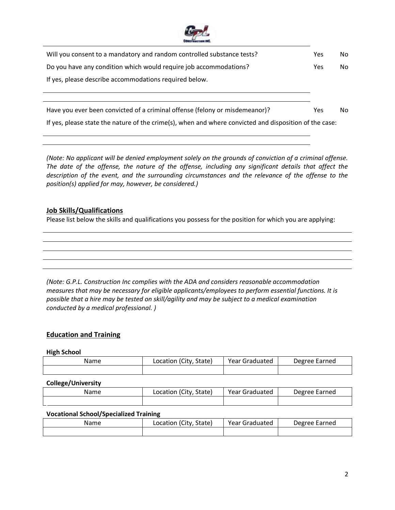

| Will you consent to a mandatory and random controlled substance tests?                                 | <b>Yes</b> | No  |
|--------------------------------------------------------------------------------------------------------|------------|-----|
| Do you have any condition which would require job accommodations?                                      | Yes        | No. |
| If yes, please describe accommodations required below.                                                 |            |     |
|                                                                                                        |            |     |
|                                                                                                        |            |     |
| Have you ever been convicted of a criminal offense (felony or misdemeanor)?                            | Yes        | No. |
| If yes, please state the nature of the crime(s), when and where convicted and disposition of the case: |            |     |

*(Note: No applicant will be denied employment solely on the grounds of conviction of a criminal offense. The date of the offense, the nature of the offense, including any significant details that affect the description of the event, and the surrounding circumstances and the relevance of the offense to the position(s) applied for may, however, be considered.)*

### **Job Skills/Qualifications**

Please list below the skills and qualifications you possess for the position for which you are applying:

*(Note: G.P.L. Construction Inc complies with the ADA and considers reasonable accommodation measures that may be necessary for eligible applicants/employees to perform essential functions. It is possible that a hire may be tested on skill/agility and may be subject to a medical examination conducted by a medical professional. )*

## **Education and Training**

#### **High School**

| Name | Location (City, State) | Year Graduated | Degree Earned |
|------|------------------------|----------------|---------------|
|      |                        |                |               |

#### **College/University**

| Name | Location (City,<br>State) | Year Graduated | Degree Earned |
|------|---------------------------|----------------|---------------|
|      |                           |                |               |

### **Vocational School/Specialized Training**

| Name | Location (City, State) | Year Graduated | Degree Earned |
|------|------------------------|----------------|---------------|
|      |                        |                |               |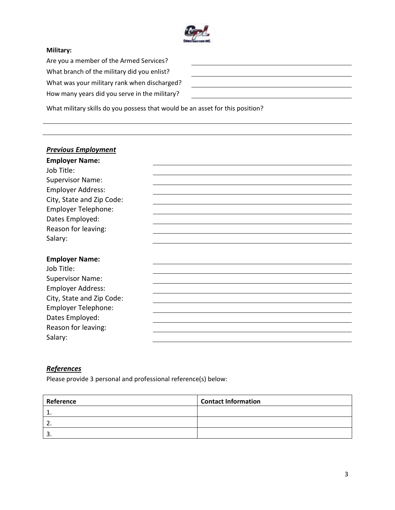

### **Military:**

Are you a member of the Armed Services? What branch of the military did you enlist? What was your military rank when discharged? How many years did you serve in the military?

|                                                                                 | the contract of the contract of the contract of the contract of the contract of |  |  |
|---------------------------------------------------------------------------------|---------------------------------------------------------------------------------|--|--|
|                                                                                 |                                                                                 |  |  |
| the contract of the contract of the contract of the contract of the contract of |                                                                                 |  |  |
|                                                                                 |                                                                                 |  |  |

What military skills do you possess that would be an asset for this position?

| <b>Previous Employment</b><br><b>Employer Name:</b><br>Job Title:<br><b>Supervisor Name:</b><br><b>Employer Address:</b><br>City, State and Zip Code:<br>Employer Telephone:<br>Dates Employed: |  |
|-------------------------------------------------------------------------------------------------------------------------------------------------------------------------------------------------|--|
| Reason for leaving:                                                                                                                                                                             |  |
| Salary:                                                                                                                                                                                         |  |
| <b>Employer Name:</b><br>Job Title:                                                                                                                                                             |  |
| <b>Supervisor Name:</b>                                                                                                                                                                         |  |
| <b>Employer Address:</b>                                                                                                                                                                        |  |
| City, State and Zip Code:                                                                                                                                                                       |  |
| Employer Telephone:                                                                                                                                                                             |  |
| Dates Employed:                                                                                                                                                                                 |  |
| Reason for leaving:                                                                                                                                                                             |  |
| Salary:                                                                                                                                                                                         |  |

# *References*

Please provide 3 personal and professional reference(s) below:

| Reference | <b>Contact Information</b> |
|-----------|----------------------------|
|           |                            |
| <u>.</u>  |                            |
| . ب       |                            |